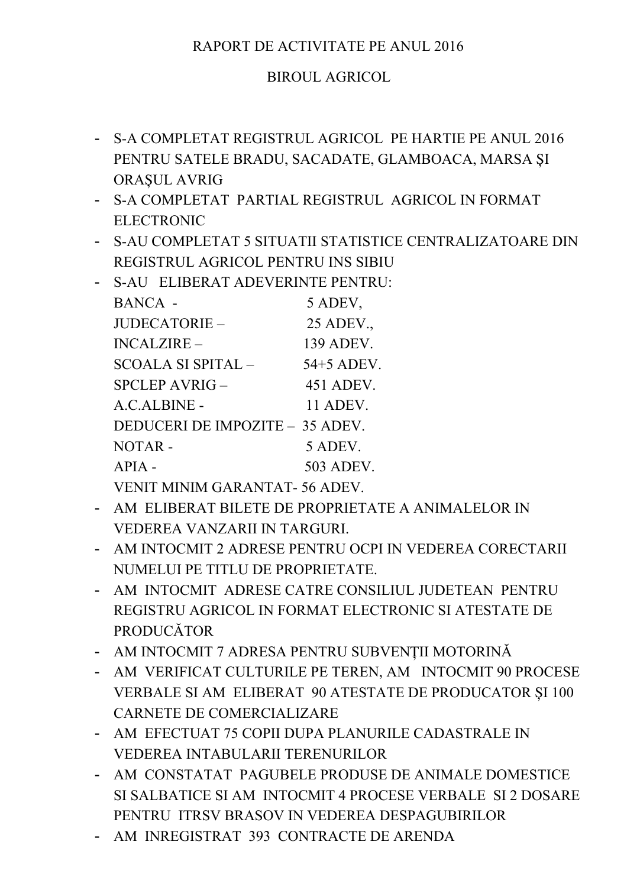## RAPORT DE ACTIVITATE PE ANUL 2016

## **BIROUL AGRICOL**

- S-A COMPLETAT REGISTRUL AGRICOL PE HARTIE PE ANUL 2016 PENTRU SATELE BRADU, SACADATE, GLAMBOACA, MARSA SI **ORASUL AVRIG**
- S-A COMPLETAT PARTIAL REGISTRUL AGRICOL IN FORMAT **ELECTRONIC**
- S-AU COMPLETAT 5 SITUATII STATISTICE CENTRALIZATOARE DIN REGISTRUL AGRICOL PENTRU INS SIBIU
- S-AU ELIBERAT ADEVERINTE PENTRU:

| <b>BANCA -</b>                  | 5 ADEV,    |
|---------------------------------|------------|
| JUDECATORIE-                    | 25 ADEV.,  |
| $INCALZIRE -$                   | 139 ADEV.  |
| SCOALA SI SPITAL –              | 54+5 ADEV. |
| $SPCLEP AVRIG -$                | 451 ADEV.  |
| A.C.ALBINE -                    | 11 ADEV.   |
| DEDUCERI DE IMPOZITE - 35 ADEV. |            |
| NOTAR-                          | 5 ADEV.    |
| $APIA$ -                        | 503 ADEV.  |
|                                 |            |

VENIT MINIM GARANTAT-56 ADEV.

- AM ELIBERAT BILETE DE PROPRIETATE A ANIMALELOR IN VEDEREA VANZARII IN TARGURI.
- AM INTOCMIT 2 ADRESE PENTRU OCPI IN VEDEREA CORECTARII NUMELUI PE TITLU DE PROPRIETATE.
- AM INTOCMIT ADRESE CATRE CONSILIUL JUDETEAN PENTRU REGISTRU AGRICOL IN FORMAT ELECTRONIC SI ATESTATE DE **PRODUCĂTOR**
- AM INTOCMIT 7 ADRESA PENTRU SUBVENȚII MOTORINĂ
- AM VERIFICAT CULTURILE PE TEREN, AM INTOCMIT 90 PROCESE VERBALE SI AM ELIBERAT 90 ATESTATE DE PRODUCATOR ȘI 100 CARNETE DE COMERCIALIZARE
- AM EFECTUAT 75 COPII DUPA PLANURILE CADASTRALE IN VEDEREA INTABULARII TERENURILOR
- AM CONSTATAT PAGUBELE PRODUSE DE ANIMALE DOMESTICE SI SALBATICE SI AM INTOCMIT 4 PROCESE VERBALE SI 2 DOSARE PENTRU ITRSV BRASOV IN VEDEREA DESPAGUBIRILOR
- AM INREGISTRAT 393 CONTRACTE DE ARENDA